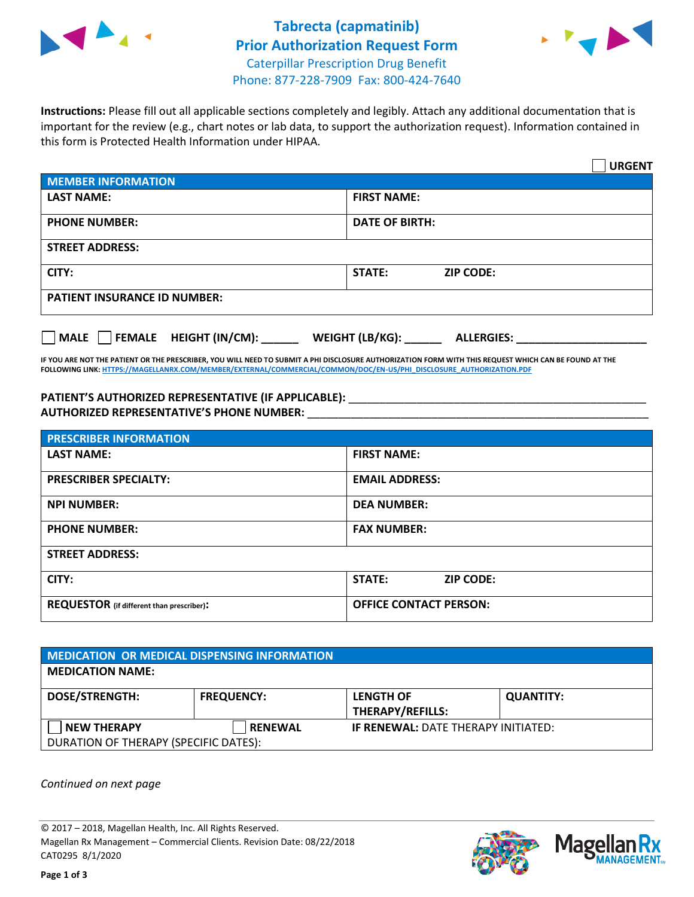



**Instructions:** Please fill out all applicable sections completely and legibly. Attach any additional documentation that is important for the review (e.g., chart notes or lab data, to support the authorization request). Information contained in this form is Protected Health Information under HIPAA.

|                                                | <b>URGENT</b>                        |  |
|------------------------------------------------|--------------------------------------|--|
| <b>MEMBER INFORMATION</b>                      |                                      |  |
| <b>LAST NAME:</b>                              | <b>FIRST NAME:</b>                   |  |
| <b>PHONE NUMBER:</b>                           | <b>DATE OF BIRTH:</b>                |  |
| <b>STREET ADDRESS:</b>                         |                                      |  |
| CITY:                                          | <b>STATE:</b><br><b>ZIP CODE:</b>    |  |
| <b>PATIENT INSURANCE ID NUMBER:</b>            |                                      |  |
| $\Box$ FEMALE HEIGHT (IN/CM): _<br><b>MALE</b> | WEIGHT (LB/KG):<br><b>ALLERGIES:</b> |  |

**IF YOU ARE NOT THE PATIENT OR THE PRESCRIBER, YOU WILL NEED TO SUBMIT A PHI DISCLOSURE AUTHORIZATION FORM WITH THIS REQUEST WHICH CAN BE FOUND AT THE FOLLOWING LINK[: HTTPS://MAGELLANRX.COM/MEMBER/EXTERNAL/COMMERCIAL/COMMON/DOC/EN-US/PHI\\_DISCLOSURE\\_AUTHORIZATION.PDF](https://magellanrx.com/member/external/commercial/common/doc/en-us/PHI_Disclosure_Authorization.pdf)**

PATIENT'S AUTHORIZED REPRESENTATIVE (IF APPLICABLE): \_\_\_\_\_\_\_\_\_\_\_\_\_\_\_\_\_\_\_\_\_\_\_\_\_\_\_ **AUTHORIZED REPRESENTATIVE'S PHONE NUMBER:** \_\_\_\_\_\_\_\_\_\_\_\_\_\_\_\_\_\_\_\_\_\_\_\_\_\_\_\_\_\_\_\_\_\_\_\_\_\_\_\_\_\_\_\_\_\_\_\_\_\_\_\_\_\_\_

| <b>PRESCRIBER INFORMATION</b>             |                                   |  |  |  |
|-------------------------------------------|-----------------------------------|--|--|--|
| <b>LAST NAME:</b>                         | <b>FIRST NAME:</b>                |  |  |  |
| <b>PRESCRIBER SPECIALTY:</b>              | <b>EMAIL ADDRESS:</b>             |  |  |  |
| <b>NPI NUMBER:</b>                        | <b>DEA NUMBER:</b>                |  |  |  |
| <b>PHONE NUMBER:</b>                      | <b>FAX NUMBER:</b>                |  |  |  |
| <b>STREET ADDRESS:</b>                    |                                   |  |  |  |
| CITY:                                     | <b>STATE:</b><br><b>ZIP CODE:</b> |  |  |  |
| REQUESTOR (if different than prescriber): | <b>OFFICE CONTACT PERSON:</b>     |  |  |  |

| <b>MEDICATION OR MEDICAL DISPENSING INFORMATION</b> |                   |                                            |                  |  |  |
|-----------------------------------------------------|-------------------|--------------------------------------------|------------------|--|--|
| <b>MEDICATION NAME:</b>                             |                   |                                            |                  |  |  |
| <b>DOSE/STRENGTH:</b>                               | <b>FREQUENCY:</b> | <b>LENGTH OF</b>                           | <b>QUANTITY:</b> |  |  |
|                                                     |                   | <b>THERAPY/REFILLS:</b>                    |                  |  |  |
| <b>NEW THERAPY</b>                                  | <b>RENEWAL</b>    | <b>IF RENEWAL: DATE THERAPY INITIATED:</b> |                  |  |  |
| DURATION OF THERAPY (SPECIFIC DATES):               |                   |                                            |                  |  |  |

*Continued on next page*

© 2017 – 2018, Magellan Health, Inc. All Rights Reserved. Magellan Rx Management – Commercial Clients. Revision Date: 08/22/2018 CAT0295 8/1/2020



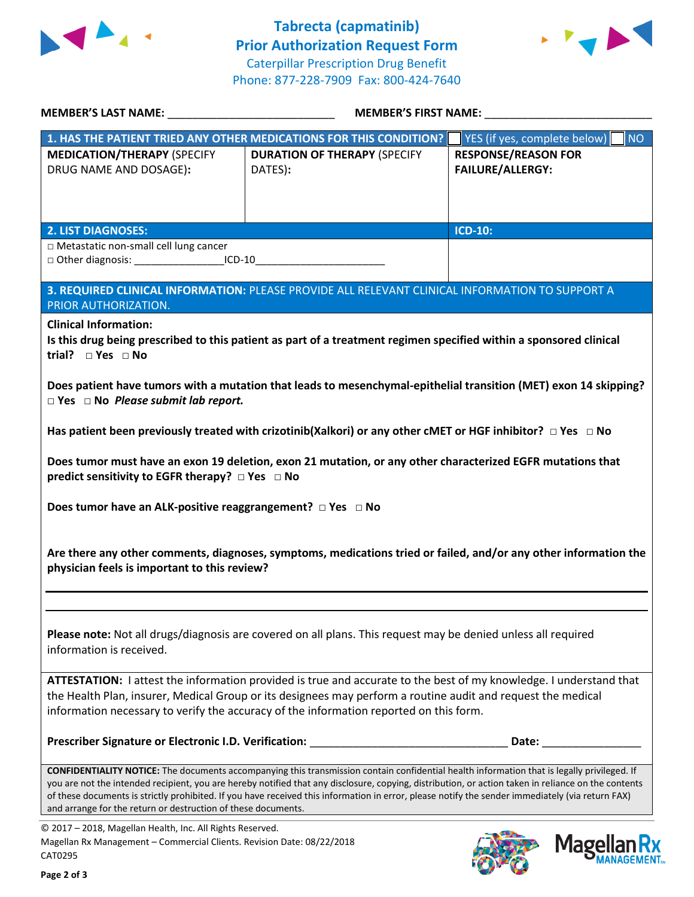



**MANAGEMENT**<sub>SM</sub>

| MEMBER'S LAST NAME: NAME:                                                                                                                             |                                                                                                                                                                                                                                                                                                                                                                                                                                                        | <b>MEMBER'S FIRST NAME:</b>                           |  |  |
|-------------------------------------------------------------------------------------------------------------------------------------------------------|--------------------------------------------------------------------------------------------------------------------------------------------------------------------------------------------------------------------------------------------------------------------------------------------------------------------------------------------------------------------------------------------------------------------------------------------------------|-------------------------------------------------------|--|--|
|                                                                                                                                                       | 1. HAS THE PATIENT TRIED ANY OTHER MEDICATIONS FOR THIS CONDITION?                                                                                                                                                                                                                                                                                                                                                                                     | YES (if yes, complete below)<br>NO                    |  |  |
| <b>MEDICATION/THERAPY (SPECIFY</b><br>DRUG NAME AND DOSAGE):                                                                                          | <b>DURATION OF THERAPY (SPECIFY</b><br>DATES):                                                                                                                                                                                                                                                                                                                                                                                                         | <b>RESPONSE/REASON FOR</b><br><b>FAILURE/ALLERGY:</b> |  |  |
| <b>2. LIST DIAGNOSES:</b>                                                                                                                             |                                                                                                                                                                                                                                                                                                                                                                                                                                                        | <b>ICD-10:</b>                                        |  |  |
| □ Metastatic non-small cell lung cancer<br>□ Other diagnosis: _____________________ICD-10_________________________________                            |                                                                                                                                                                                                                                                                                                                                                                                                                                                        |                                                       |  |  |
| PRIOR AUTHORIZATION.<br><b>Clinical Information:</b>                                                                                                  | 3. REQUIRED CLINICAL INFORMATION: PLEASE PROVIDE ALL RELEVANT CLINICAL INFORMATION TO SUPPORT A<br>Is this drug being prescribed to this patient as part of a treatment regimen specified within a sponsored clinical                                                                                                                                                                                                                                  |                                                       |  |  |
| $\Box$ Yes $\Box$ No Please submit lab report.<br>predict sensitivity to EGFR therapy? $\Box$ Yes $\Box$ No                                           | Has patient been previously treated with crizotinib(Xalkori) or any other CMET or HGF inhibitor? $\Box$ Yes $\Box$ No<br>Does tumor must have an exon 19 deletion, exon 21 mutation, or any other characterized EGFR mutations that                                                                                                                                                                                                                    |                                                       |  |  |
| physician feels is important to this review?                                                                                                          | Are there any other comments, diagnoses, symptoms, medications tried or failed, and/or any other information the                                                                                                                                                                                                                                                                                                                                       |                                                       |  |  |
| information is received.                                                                                                                              | Please note: Not all drugs/diagnosis are covered on all plans. This request may be denied unless all required                                                                                                                                                                                                                                                                                                                                          |                                                       |  |  |
|                                                                                                                                                       | ATTESTATION: I attest the information provided is true and accurate to the best of my knowledge. I understand that<br>the Health Plan, insurer, Medical Group or its designees may perform a routine audit and request the medical<br>information necessary to verify the accuracy of the information reported on this form.                                                                                                                           |                                                       |  |  |
|                                                                                                                                                       | Prescriber Signature or Electronic I.D. Verification: ___________________________                                                                                                                                                                                                                                                                                                                                                                      | Date:                                                 |  |  |
| and arrange for the return or destruction of these documents.                                                                                         | CONFIDENTIALITY NOTICE: The documents accompanying this transmission contain confidential health information that is legally privileged. If<br>you are not the intended recipient, you are hereby notified that any disclosure, copying, distribution, or action taken in reliance on the contents<br>of these documents is strictly prohibited. If you have received this information in error, please notify the sender immediately (via return FAX) |                                                       |  |  |
| © 2017 - 2018, Magellan Health, Inc. All Rights Reserved.<br>Magellan Rx Management - Commercial Clients. Revision Date: 08/22/2018<br><b>CATO295</b> |                                                                                                                                                                                                                                                                                                                                                                                                                                                        | <b>Magellan Rx</b>                                    |  |  |

CAT0295